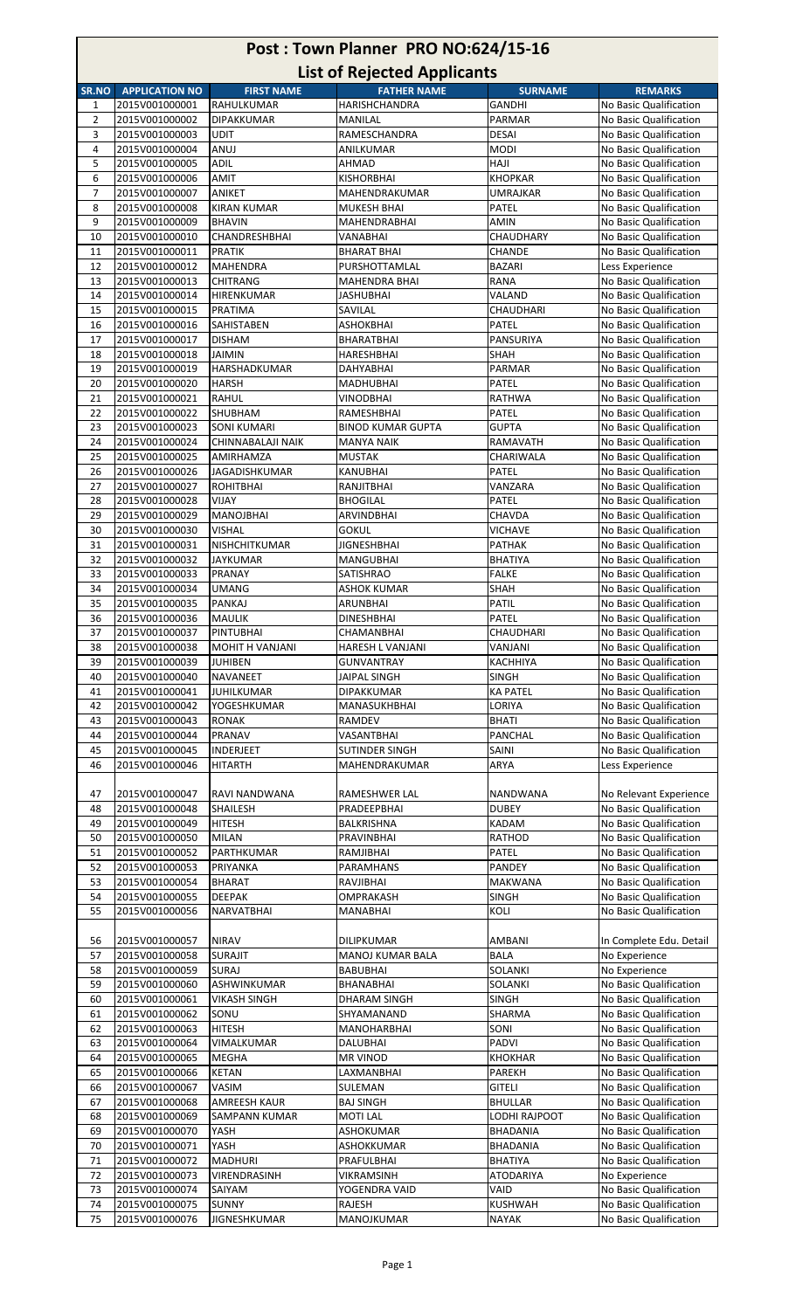| Post: Town Planner PRO NO:624/15-16 |                                  |                                          |                                                          |                               |                                                  |
|-------------------------------------|----------------------------------|------------------------------------------|----------------------------------------------------------|-------------------------------|--------------------------------------------------|
| SR.NO                               | <b>APPLICATION NO</b>            | <b>FIRST NAME</b>                        | <b>List of Rejected Applicants</b><br><b>FATHER NAME</b> | <b>SURNAME</b>                | <b>REMARKS</b>                                   |
| 1                                   | 2015V001000001                   | RAHULKUMAR                               | <b>HARISHCHANDRA</b>                                     | <b>GANDHI</b>                 | No Basic Qualification                           |
| $\overline{2}$                      | 2015V001000002                   | <b>DIPAKKUMAR</b>                        | <b>MANILAL</b>                                           | PARMAR                        | No Basic Qualification                           |
| 3                                   | 2015V001000003                   | <b>UDIT</b>                              | RAMESCHANDRA                                             | <b>DESAI</b>                  | No Basic Qualification                           |
| $\overline{4}$                      | 2015V001000004                   | ANUJ                                     | ANILKUMAR                                                | <b>MODI</b>                   | No Basic Qualification                           |
| 5<br>6                              | 2015V001000005<br>2015V001000006 | <b>ADIL</b><br><b>AMIT</b>               | <b>AHMAD</b><br><b>KISHORBHAI</b>                        | <b>HAJI</b><br><b>KHOPKAR</b> | No Basic Qualification<br>No Basic Qualification |
| $\overline{7}$                      | 2015V001000007                   | <b>ANIKET</b>                            | MAHENDRAKUMAR                                            | <b>UMRAJKAR</b>               | No Basic Qualification                           |
| 8                                   | 2015V001000008                   | <b>KIRAN KUMAR</b>                       | <b>MUKESH BHAI</b>                                       | PATEL                         | No Basic Qualification                           |
| 9                                   | 2015V001000009                   | <b>BHAVIN</b>                            | MAHENDRABHAI                                             | <b>AMIN</b>                   | No Basic Qualification                           |
| 10                                  | 2015V001000010                   | CHANDRESHBHAI                            | VANABHAI                                                 | CHAUDHARY                     | No Basic Qualification                           |
| 11                                  | 2015V001000011                   | <b>PRATIK</b>                            | <b>BHARAT BHAI</b>                                       | <b>CHANDE</b>                 | No Basic Qualification                           |
| 12<br>13                            | 2015V001000012<br>2015V001000013 | <b>MAHENDRA</b><br><b>CHITRANG</b>       | PURSHOTTAMLAL<br><b>MAHENDRA BHAI</b>                    | <b>BAZARI</b><br><b>RANA</b>  | Less Experience<br>No Basic Qualification        |
| 14                                  | 2015V001000014                   | HIRENKUMAR                               | JASHUBHAI                                                | VALAND                        | No Basic Qualification                           |
| 15                                  | 2015V001000015                   | PRATIMA                                  | SAVILAL                                                  | CHAUDHARI                     | No Basic Qualification                           |
| 16                                  | 2015V001000016                   | <b>SAHISTABEN</b>                        | <b>ASHOKBHAI</b>                                         | <b>PATEL</b>                  | No Basic Qualification                           |
| 17                                  | 2015V001000017                   | <b>DISHAM</b>                            | <b>BHARATBHAI</b>                                        | PANSURIYA                     | No Basic Qualification                           |
| 18                                  | 2015V001000018                   | JAIMIN                                   | HARESHBHAI                                               | SHAH                          | No Basic Qualification                           |
| 19<br>20                            | 2015V001000019<br>2015V001000020 | HARSHADKUMAR<br><b>HARSH</b>             | DAHYABHAI<br>MADHUBHAI                                   | PARMAR<br>PATEL               | No Basic Qualification<br>No Basic Qualification |
| 21                                  | 2015V001000021                   | <b>RAHUL</b>                             | <b>VINODBHAI</b>                                         | <b>RATHWA</b>                 | No Basic Qualification                           |
| 22                                  | 2015V001000022                   | SHUBHAM                                  | RAMESHBHAI                                               | <b>PATEL</b>                  | No Basic Qualification                           |
| 23                                  | 2015V001000023                   | <b>SONI KUMARI</b>                       | <b>BINOD KUMAR GUPTA</b>                                 | <b>GUPTA</b>                  | No Basic Qualification                           |
| 24                                  | 2015V001000024                   | CHINNABALAJI NAIK                        | <b>MANYA NAIK</b>                                        | <b>RAMAVATH</b>               | No Basic Qualification                           |
| 25                                  | 2015V001000025                   | AMIRHAMZA                                | <b>MUSTAK</b>                                            | CHARIWALA                     | No Basic Qualification                           |
| 26<br>27                            | 2015V001000026<br>2015V001000027 | <b>JAGADISHKUMAR</b><br><b>ROHITBHAI</b> | KANUBHAI<br>RANJITBHAI                                   | PATEL<br>VANZARA              | No Basic Qualification<br>No Basic Qualification |
| 28                                  | 2015V001000028                   | VIJAY                                    | <b>BHOGILAL</b>                                          | <b>PATEL</b>                  | No Basic Qualification                           |
| 29                                  | 2015V001000029                   | <b>MANOJBHAI</b>                         | ARVINDBHAI                                               | CHAVDA                        | No Basic Qualification                           |
| 30                                  | 2015V001000030                   | <b>VISHAL</b>                            | <b>GOKUL</b>                                             | <b>VICHAVE</b>                | No Basic Qualification                           |
| 31                                  | 2015V001000031                   | NISHCHITKUMAR                            | <b>JIGNESHBHAI</b>                                       | <b>PATHAK</b>                 | No Basic Qualification                           |
| 32                                  | 2015V001000032                   | <b>JAYKUMAR</b>                          | <b>MANGUBHAI</b>                                         | <b>BHATIYA</b>                | No Basic Qualification                           |
| 33<br>34                            | 2015V001000033<br>2015V001000034 | PRANAY<br><b>UMANG</b>                   | SATISHRAO<br><b>ASHOK KUMAR</b>                          | <b>FALKE</b><br>SHAH          | No Basic Qualification<br>No Basic Qualification |
| 35                                  | 2015V001000035                   | PANKAJ                                   | ARUNBHAI                                                 | PATIL                         | No Basic Qualification                           |
| 36                                  | 2015V001000036                   | MAULIK                                   | <b>DINESHBHAI</b>                                        | PATEL                         | No Basic Qualification                           |
| 37                                  | 2015V001000037                   | <b>PINTUBHAI</b>                         | CHAMANBHAI                                               | CHAUDHARI                     | No Basic Qualification                           |
| 38                                  | 2015V001000038                   | <b>MOHIT H VANJANI</b>                   | <b>HARESH L VANJANI</b>                                  | VANJANI                       | No Basic Qualification                           |
| 39<br>40                            | 2015V001000039<br>2015V001000040 | <b>JUHIBEN</b><br><b>NAVANEET</b>        | <b>GUNVANTRAY</b>                                        | KACHHIYA<br><b>SINGH</b>      | No Basic Qualification<br>No Basic Qualification |
| 41                                  | 2015V001000041                   | <b>JUHILKUMAR</b>                        | JAIPAL SINGH<br><b>DIPAKKUMAR</b>                        | <b>KA PATEL</b>               | No Basic Qualification                           |
| 42                                  | 2015V001000042                   | YOGESHKUMAR                              | MANASUKHBHAI                                             | LORIYA                        | No Basic Qualification                           |
| 43                                  | 2015V001000043                   | <b>RONAK</b>                             | RAMDEV                                                   | <b>BHATI</b>                  | No Basic Qualification                           |
| 44                                  | 2015V001000044                   | PRANAV                                   | VASANTBHAI                                               | <b>PANCHAL</b>                | No Basic Qualification                           |
| 45                                  | 2015V001000045                   | INDERJEET                                | <b>SUTINDER SINGH</b>                                    | SAINI                         | No Basic Qualification                           |
| 46                                  | 2015V001000046                   | <b>HITARTH</b>                           | MAHENDRAKUMAR                                            | ARYA                          | Less Experience                                  |
| 47                                  | 2015V001000047                   | RAVI NANDWANA                            | RAMESHWER LAL                                            | NANDWANA                      | No Relevant Experience                           |
| 48                                  | 2015V001000048                   | SHAILESH                                 | PRADEEPBHAI                                              | <b>DUBEY</b>                  | No Basic Qualification                           |
| 49                                  | 2015V001000049                   | <b>HITESH</b>                            | BALKRISHNA                                               | <b>KADAM</b>                  | No Basic Qualification                           |
| 50                                  | 2015V001000050                   | MILAN                                    | PRAVINBHAI                                               | <b>RATHOD</b>                 | No Basic Qualification                           |
| 51                                  | 2015V001000052                   | PARTHKUMAR                               | RAMJIBHAI                                                | <b>PATEL</b>                  | No Basic Qualification                           |
| 52<br>53                            | 2015V001000053<br>2015V001000054 | PRIYANKA<br><b>BHARAT</b>                | PARAMHANS<br>RAVJIBHAI                                   | PANDEY<br><b>MAKWANA</b>      | No Basic Qualification<br>No Basic Qualification |
| 54                                  | 2015V001000055                   | <b>DEEPAK</b>                            | OMPRAKASH                                                | <b>SINGH</b>                  | No Basic Qualification                           |
| 55                                  | 2015V001000056                   | NARVATBHAI                               | MANABHAI                                                 | KOLI                          | No Basic Qualification                           |
|                                     |                                  |                                          |                                                          |                               |                                                  |
| 56                                  | 2015V001000057                   | <b>NIRAV</b>                             | <b>DILIPKUMAR</b>                                        | AMBANI                        | In Complete Edu. Detail                          |
| 57<br>58                            | 2015V001000058<br>2015V001000059 | <b>SURAJIT</b><br>SURAJ                  | <b>MANOJ KUMAR BALA</b><br><b>BABUBHAI</b>               | <b>BALA</b><br>SOLANKI        | No Experience<br>No Experience                   |
| 59                                  | 2015V001000060                   | ASHWINKUMAR                              | BHANABHAI                                                | SOLANKI                       | No Basic Qualification                           |
| 60                                  | 2015V001000061                   | <b>VIKASH SINGH</b>                      | DHARAM SINGH                                             | <b>SINGH</b>                  | No Basic Qualification                           |
| 61                                  | 2015V001000062                   | SONU                                     | SHYAMANAND                                               | SHARMA                        | No Basic Qualification                           |
| 62                                  | 2015V001000063                   | <b>HITESH</b>                            | <b>MANOHARBHAI</b>                                       | SONI                          | No Basic Qualification                           |
| 63                                  | 2015V001000064                   | VIMALKUMAR                               | <b>DALUBHAI</b>                                          | PADVI                         | No Basic Qualification                           |
| 64<br>65                            | 2015V001000065<br>2015V001000066 | <b>MEGHA</b><br><b>KETAN</b>             | <b>MR VINOD</b><br>LAXMANBHAI                            | <b>KHOKHAR</b><br>PAREKH      | No Basic Qualification<br>No Basic Qualification |
| 66                                  | 2015V001000067                   | VASIM                                    | SULEMAN                                                  | <b>GITELI</b>                 | No Basic Qualification                           |
| 67                                  | 2015V001000068                   | <b>AMREESH KAUR</b>                      | <b>BAJ SINGH</b>                                         | <b>BHULLAR</b>                | No Basic Qualification                           |
| 68                                  | 2015V001000069                   | <b>SAMPANN KUMAR</b>                     | <b>MOTI LAL</b>                                          | LODHI RAJPOOT                 | No Basic Qualification                           |
| 69                                  | 2015V001000070                   | YASH                                     | ASHOKUMAR                                                | <b>BHADANIA</b>               | No Basic Qualification                           |
| 70                                  | 2015V001000071                   | YASH                                     | ASHOKKUMAR                                               | <b>BHADANIA</b>               | No Basic Qualification                           |
| 71<br>72                            | 2015V001000072<br>2015V001000073 | <b>MADHURI</b><br>VIRENDRASINH           | PRAFULBHAI<br><b>VIKRAMSINH</b>                          | <b>BHATIYA</b><br>ATODARIYA   | No Basic Qualification<br>No Experience          |
| 73                                  | 2015V001000074                   | SAIYAM                                   | YOGENDRA VAID                                            | VAID                          | No Basic Qualification                           |
| 74                                  | 2015V001000075                   | <b>SUNNY</b>                             | RAJESH                                                   | KUSHWAH                       | No Basic Qualification                           |
| 75                                  | 2015V001000076                   | JIGNESHKUMAR                             | MANOJKUMAR                                               | <b>NAYAK</b>                  | No Basic Qualification                           |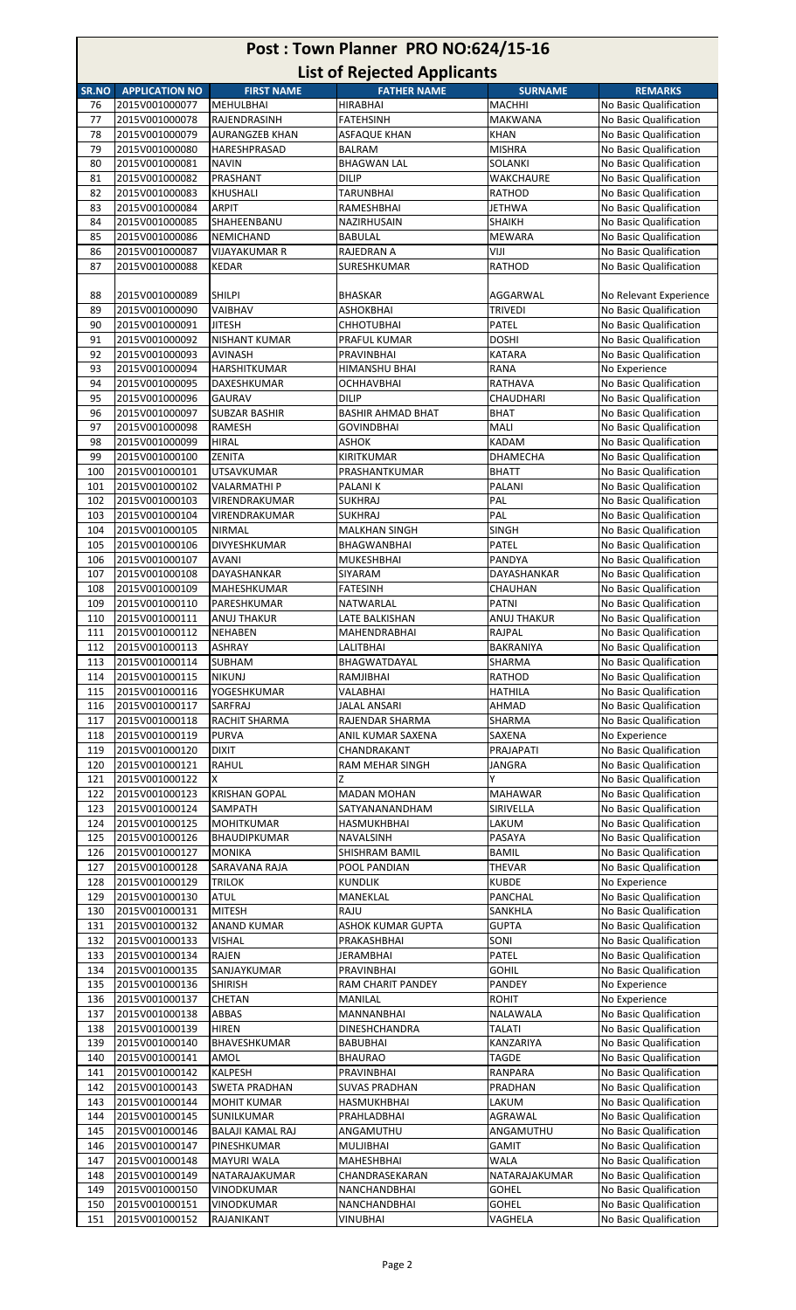| Post: Town Planner PRO NO:624/15-16<br><b>List of Rejected Applicants</b>                                     |                                  |                                     |                                      |                                   |                                                  |  |
|---------------------------------------------------------------------------------------------------------------|----------------------------------|-------------------------------------|--------------------------------------|-----------------------------------|--------------------------------------------------|--|
| <b>FATHER NAME</b><br><b>APPLICATION NO</b><br><b>FIRST NAME</b><br><b>SURNAME</b><br><b>REMARKS</b><br>SR.NO |                                  |                                     |                                      |                                   |                                                  |  |
| 76                                                                                                            | 2015V001000077                   | <b>MEHULBHAI</b>                    | HIRABHAI                             | <b>MACHHI</b>                     | No Basic Qualification                           |  |
| 77                                                                                                            | 2015V001000078                   | RAJENDRASINH                        | FATEHSINH                            | MAKWANA                           | No Basic Qualification                           |  |
| 78                                                                                                            | 2015V001000079                   | <b>AURANGZEB KHAN</b>               | <b>ASFAQUE KHAN</b>                  | <b>KHAN</b>                       | No Basic Qualification                           |  |
| 79                                                                                                            | 2015V001000080                   | HARESHPRASAD                        | <b>BALRAM</b>                        | <b>MISHRA</b>                     | No Basic Qualification                           |  |
| 80                                                                                                            | 2015V001000081                   | <b>NAVIN</b>                        | <b>BHAGWAN LAL</b>                   | SOLANKI                           | No Basic Qualification                           |  |
| 81<br>82                                                                                                      | 2015V001000082<br>2015V001000083 | PRASHANT<br><b>KHUSHALI</b>         | <b>DILIP</b><br><b>TARUNBHAI</b>     | <b>WAKCHAURE</b><br><b>RATHOD</b> | No Basic Qualification<br>No Basic Qualification |  |
| 83                                                                                                            | 2015V001000084                   | <b>ARPIT</b>                        | RAMESHBHAI                           | <b>JETHWA</b>                     | No Basic Qualification                           |  |
| 84                                                                                                            | 2015V001000085                   | SHAHEENBANU                         | NAZIRHUSAIN                          | SHAIKH                            | No Basic Qualification                           |  |
| 85                                                                                                            | 2015V001000086                   | NEMICHAND                           | BABULAL                              | MEWARA                            | No Basic Qualification                           |  |
| 86                                                                                                            | 2015V001000087                   | <b>VIJAYAKUMAR R</b>                | RAJEDRAN A                           | VIJI                              | No Basic Qualification                           |  |
| 87                                                                                                            | 2015V001000088                   | <b>KEDAR</b>                        | SURESHKUMAR                          | <b>RATHOD</b>                     | No Basic Qualification                           |  |
|                                                                                                               |                                  |                                     |                                      |                                   |                                                  |  |
| 88<br>89                                                                                                      | 2015V001000089<br>2015V001000090 | <b>SHILPI</b><br>VAIBHAV            | <b>BHASKAR</b><br>ASHOKBHAI          | AGGARWAL<br><b>TRIVEDI</b>        | No Relevant Experience<br>No Basic Qualification |  |
| 90                                                                                                            | 2015V001000091                   | <b>JITESH</b>                       | <b>CHHOTUBHAI</b>                    | <b>PATEL</b>                      | No Basic Qualification                           |  |
| 91                                                                                                            | 2015V001000092                   | <b>NISHANT KUMAR</b>                | PRAFUL KUMAR                         | <b>DOSHI</b>                      | No Basic Qualification                           |  |
| 92                                                                                                            | 2015V001000093                   | <b>AVINASH</b>                      | PRAVINBHAI                           | KATARA                            | No Basic Qualification                           |  |
| 93                                                                                                            | 2015V001000094                   | <b>HARSHITKUMAR</b>                 | HIMANSHU BHAI                        | RANA                              | No Experience                                    |  |
| 94                                                                                                            | 2015V001000095                   | DAXESHKUMAR                         | OCHHAVBHAI                           | RATHAVA                           | No Basic Qualification                           |  |
| 95                                                                                                            | 2015V001000096                   | <b>GAURAV</b>                       | <b>DILIP</b>                         | CHAUDHARI                         | No Basic Qualification                           |  |
| 96                                                                                                            | 2015V001000097                   | <b>SUBZAR BASHIR</b>                | <b>BASHIR AHMAD BHAT</b>             | <b>BHAT</b>                       | No Basic Qualification                           |  |
| 97<br>98                                                                                                      | 2015V001000098<br>2015V001000099 | <b>RAMESH</b><br><b>HIRAL</b>       | <b>GOVINDBHAI</b><br>ASHOK           | MALI<br><b>KADAM</b>              | No Basic Qualification<br>No Basic Qualification |  |
| 99                                                                                                            | 2015V001000100                   | <b>ZENITA</b>                       | KIRITKUMAR                           | <b>DHAMECHA</b>                   | No Basic Qualification                           |  |
| 100                                                                                                           | 2015V001000101                   | <b>UTSAVKUMAR</b>                   | PRASHANTKUMAR                        | <b>BHATT</b>                      | No Basic Qualification                           |  |
| 101                                                                                                           | 2015V001000102                   | VALARMATHI P                        | PALANI K                             | PALANI                            | No Basic Qualification                           |  |
| 102                                                                                                           | 2015V001000103                   | VIRENDRAKUMAR                       | SUKHRAJ                              | PAL                               | No Basic Qualification                           |  |
| 103                                                                                                           | 2015V001000104                   | VIRENDRAKUMAR                       | SUKHRAJ                              | PAL                               | No Basic Qualification                           |  |
| 104                                                                                                           | 2015V001000105                   | <b>NIRMAL</b>                       | <b>MALKHAN SINGH</b>                 | <b>SINGH</b>                      | No Basic Qualification                           |  |
| 105                                                                                                           | 2015V001000106<br>2015V001000107 | DIVYESHKUMAR<br><b>AVANI</b>        | BHAGWANBHAI                          | PATEL                             | No Basic Qualification                           |  |
| 106<br>107                                                                                                    | 2015V001000108                   | DAYASHANKAR                         | <b>MUKESHBHAI</b><br><b>SIYARAM</b>  | PANDYA<br>DAYASHANKAR             | No Basic Qualification<br>No Basic Qualification |  |
| 108                                                                                                           | 2015V001000109                   | MAHESHKUMAR                         | <b>FATESINH</b>                      | <b>CHAUHAN</b>                    | No Basic Qualification                           |  |
| 109                                                                                                           | 2015V001000110                   | PARESHKUMAR                         | NATWARLAL                            | PATNI                             | No Basic Qualification                           |  |
| 110                                                                                                           | 2015V001000111                   | <b>ANUJ THAKUR</b>                  | LATE BALKISHAN                       | ANUJ THAKUR                       | No Basic Qualification                           |  |
| 111                                                                                                           | 2015V001000112                   | <b>NEHABEN</b>                      | MAHENDRABHAI                         | RAJPAL                            | No Basic Qualification                           |  |
| 112                                                                                                           | 2015V001000113                   | <b>ASHRAY</b>                       | LALITBHAI                            | BAKRANIYA                         | No Basic Qualification                           |  |
| 113                                                                                                           | 2015V001000114                   | <b>SUBHAM</b>                       | BHAGWATDAYAL                         | SHARMA                            | No Basic Qualification                           |  |
| 114<br>115                                                                                                    | 2015V001000115<br>2015V001000116 | <b>NIKUNJ</b><br>YOGESHKUMAR        | RAMJIBHAI<br>VALABHAI                | <b>RATHOD</b><br><b>HATHILA</b>   | No Basic Qualification<br>No Basic Qualification |  |
| 116                                                                                                           | 2015V001000117                   | SARFRAJ                             | JALAL ANSARI                         | AHMAD                             | No Basic Qualification                           |  |
| 117                                                                                                           | 2015V001000118                   | RACHIT SHARMA                       | RAJENDAR SHARMA                      | SHARMA                            | No Basic Qualification                           |  |
| 118                                                                                                           | 2015V001000119                   | PURVA                               | ANIL KUMAR SAXENA                    | SAXENA                            | No Experience                                    |  |
| 119                                                                                                           | 2015V001000120                   | <b>DIXIT</b>                        | CHANDRAKANT                          | PRAJAPATI                         | No Basic Qualification                           |  |
| 120                                                                                                           | 2015V001000121                   | <b>RAHUL</b>                        | RAM MEHAR SINGH                      | <b>JANGRA</b>                     | No Basic Qualification                           |  |
| 121                                                                                                           | 2015V001000122                   | x                                   | Z                                    | Υ                                 | No Basic Qualification                           |  |
| 122<br>123                                                                                                    | 2015V001000123<br>2015V001000124 | <b>KRISHAN GOPAL</b><br>SAMPATH     | <b>MADAN MOHAN</b><br>SATYANANANDHAM | <b>MAHAWAR</b><br>SIRIVELLA       | No Basic Qualification<br>No Basic Qualification |  |
| 124                                                                                                           | 2015V001000125                   | <b>MOHITKUMAR</b>                   | HASMUKHBHAI                          | LAKUM                             | No Basic Qualification                           |  |
| 125                                                                                                           | 2015V001000126                   | <b>BHAUDIPKUMAR</b>                 | NAVALSINH                            | PASAYA                            | No Basic Qualification                           |  |
| 126                                                                                                           | 2015V001000127                   | <b>MONIKA</b>                       | SHISHRAM BAMIL                       | BAMIL                             | No Basic Qualification                           |  |
| 127                                                                                                           | 2015V001000128                   | SARAVANA RAJA                       | POOL PANDIAN                         | <b>THEVAR</b>                     | No Basic Qualification                           |  |
| 128                                                                                                           | 2015V001000129                   | <b>TRILOK</b>                       | <b>KUNDLIK</b>                       | <b>KUBDE</b>                      | No Experience                                    |  |
| 129                                                                                                           | 2015V001000130                   | <b>ATUL</b>                         | MANEKLAL                             | PANCHAL                           | No Basic Qualification                           |  |
| 130<br>131                                                                                                    | 2015V001000131<br>2015V001000132 | <b>MITESH</b><br><b>ANAND KUMAR</b> | RAJU<br><b>ASHOK KUMAR GUPTA</b>     | SANKHLA<br><b>GUPTA</b>           | No Basic Qualification<br>No Basic Qualification |  |
| 132                                                                                                           | 2015V001000133                   | <b>VISHAL</b>                       | PRAKASHBHAI                          | SONI                              | No Basic Qualification                           |  |
| 133                                                                                                           | 2015V001000134                   | RAJEN                               | JERAMBHAI                            | PATEL                             | No Basic Qualification                           |  |
| 134                                                                                                           | 2015V001000135                   | SANJAYKUMAR                         | PRAVINBHAI                           | GOHIL                             | No Basic Qualification                           |  |
| 135                                                                                                           | 2015V001000136                   | <b>SHIRISH</b>                      | RAM CHARIT PANDEY                    | PANDEY                            | No Experience                                    |  |
| 136                                                                                                           | 2015V001000137                   | <b>CHETAN</b>                       | MANILAL                              | ROHIT                             | No Experience                                    |  |
| 137                                                                                                           | 2015V001000138                   | ABBAS                               | MANNANBHAI                           | NALAWALA                          | No Basic Qualification                           |  |
| 138<br>139                                                                                                    | 2015V001000139<br>2015V001000140 | <b>HIREN</b><br>BHAVESHKUMAR        | <b>DINESHCHANDRA</b><br>BABUBHAI     | <b>TALATI</b><br>KANZARIYA        | No Basic Qualification<br>No Basic Qualification |  |
| 140                                                                                                           | 2015V001000141                   | AMOL                                | <b>BHAURAO</b>                       | <b>TAGDE</b>                      | No Basic Qualification                           |  |
| 141                                                                                                           | 2015V001000142                   | KALPESH                             | PRAVINBHAI                           | RANPARA                           | No Basic Qualification                           |  |
| 142                                                                                                           | 2015V001000143                   | <b>SWETA PRADHAN</b>                | <b>SUVAS PRADHAN</b>                 | PRADHAN                           | No Basic Qualification                           |  |
| 143                                                                                                           | 2015V001000144                   | <b>MOHIT KUMAR</b>                  | HASMUKHBHAI                          | LAKUM                             | No Basic Qualification                           |  |
| 144                                                                                                           | 2015V001000145                   | SUNILKUMAR                          | PRAHLADBHAI                          | AGRAWAL                           | No Basic Qualification                           |  |
| 145                                                                                                           | 2015V001000146                   | <b>BALAJI KAMAL RAJ</b>             | ANGAMUTHU                            | ANGAMUTHU                         | No Basic Qualification                           |  |
| 146                                                                                                           | 2015V001000147                   | PINESHKUMAR                         | MULJIBHAI                            | <b>GAMIT</b>                      | No Basic Qualification                           |  |
| 147<br>148                                                                                                    | 2015V001000148<br>2015V001000149 | <b>MAYURI WALA</b><br>NATARAJAKUMAR | <b>MAHESHBHAI</b><br>CHANDRASEKARAN  | <b>WALA</b><br>NATARAJAKUMAR      | No Basic Qualification<br>No Basic Qualification |  |
| 149                                                                                                           | 2015V001000150                   | <b>VINODKUMAR</b>                   | NANCHANDBHAI                         | <b>GOHEL</b>                      | No Basic Qualification                           |  |
| 150                                                                                                           | 2015V001000151                   | <b>VINODKUMAR</b>                   | NANCHANDBHAI                         | <b>GOHEL</b>                      | No Basic Qualification                           |  |
| 151                                                                                                           | 2015V001000152                   | RAJANIKANT                          | <b>VINUBHAI</b>                      | VAGHELA                           | No Basic Qualification                           |  |

 $\overline{1}$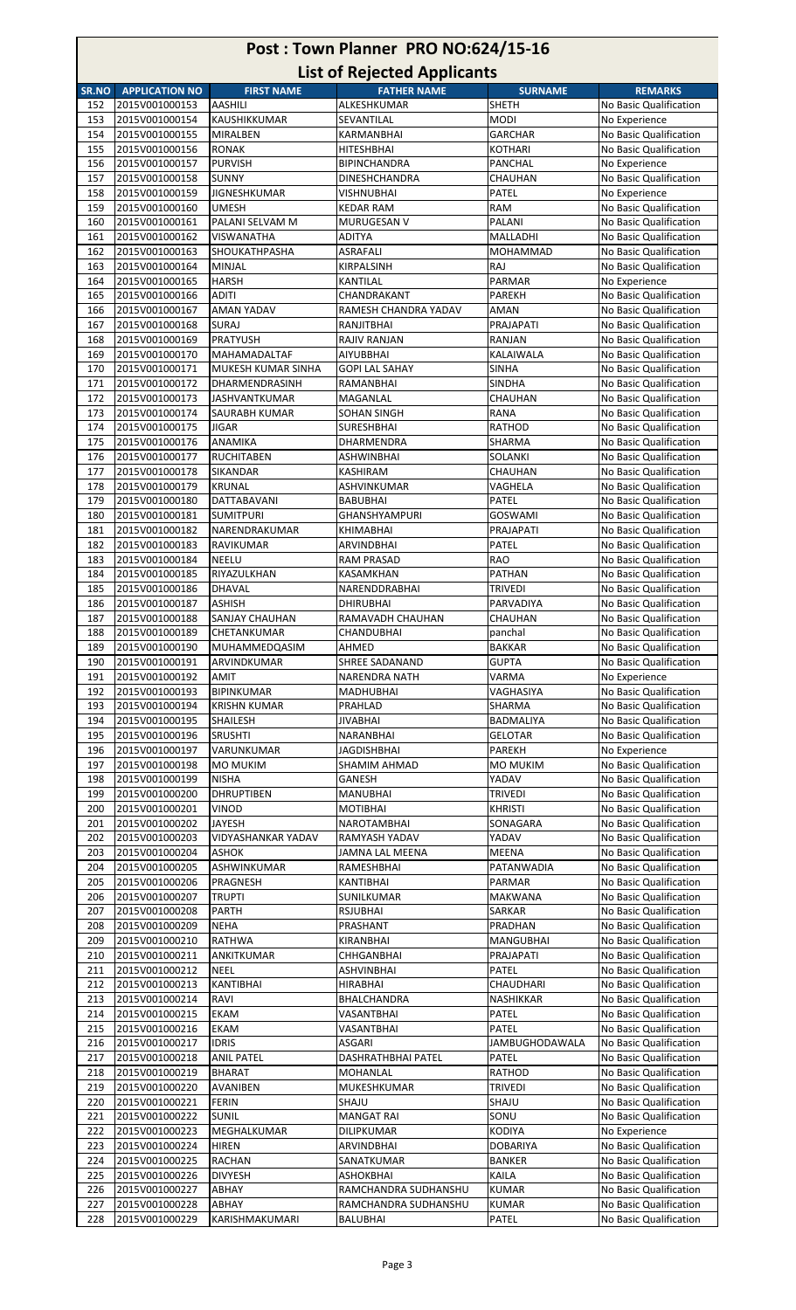| Post: Town Planner PRO NO:624/15-16                                                                                                                 |                                  |                                     |                                         |                             |                                                  |  |
|-----------------------------------------------------------------------------------------------------------------------------------------------------|----------------------------------|-------------------------------------|-----------------------------------------|-----------------------------|--------------------------------------------------|--|
| <b>List of Rejected Applicants</b><br><b>APPLICATION NO</b><br><b>FIRST NAME</b><br><b>FATHER NAME</b><br><b>SURNAME</b><br><b>REMARKS</b><br>SR.NO |                                  |                                     |                                         |                             |                                                  |  |
| 152                                                                                                                                                 | 2015V001000153                   | <b>AASHILI</b>                      | ALKESHKUMAR                             | <b>SHETH</b>                | No Basic Qualification                           |  |
| 153                                                                                                                                                 | 2015V001000154                   | KAUSHIKKUMAR                        | SEVANTILAL                              | <b>MODI</b>                 | No Experience                                    |  |
| 154                                                                                                                                                 | 2015V001000155                   | MIRALBEN                            | <b>KARMANBHAI</b>                       | <b>GARCHAR</b>              | No Basic Qualification                           |  |
| 155                                                                                                                                                 | 2015V001000156                   | <b>RONAK</b>                        | <b>HITESHBHAI</b>                       | <b>KOTHARI</b>              | No Basic Qualification                           |  |
| 156                                                                                                                                                 | 2015V001000157                   | <b>PURVISH</b>                      | <b>BIPINCHANDRA</b>                     | PANCHAL                     | No Experience                                    |  |
| 157                                                                                                                                                 | 2015V001000158                   | <b>SUNNY</b>                        | <b>DINESHCHANDRA</b>                    | CHAUHAN                     | No Basic Qualification                           |  |
| 158<br>159                                                                                                                                          | 2015V001000159<br>2015V001000160 | <b>JIGNESHKUMAR</b><br><b>UMESH</b> | <b>VISHNUBHAI</b><br><b>KEDAR RAM</b>   | PATEL<br><b>RAM</b>         | No Experience<br>No Basic Qualification          |  |
| 160                                                                                                                                                 | 2015V001000161                   | PALANI SELVAM M                     | MURUGESAN V                             | <b>PALANI</b>               | No Basic Qualification                           |  |
| 161                                                                                                                                                 | 2015V001000162                   | VISWANATHA                          | ADITYA                                  | MALLADHI                    | No Basic Qualification                           |  |
| 162                                                                                                                                                 | 2015V001000163                   | SHOUKATHPASHA                       | ASRAFALI                                | MOHAMMAD                    | No Basic Qualification                           |  |
| 163                                                                                                                                                 | 2015V001000164                   | MINJAL                              | KIRPALSINH                              | RAJ                         | No Basic Qualification                           |  |
| 164                                                                                                                                                 | 2015V001000165                   | <b>HARSH</b>                        | KANTILAL                                | <b>PARMAR</b>               | No Experience                                    |  |
| 165                                                                                                                                                 | 2015V001000166                   | <b>ADITI</b>                        | CHANDRAKANT                             | <b>PAREKH</b>               | No Basic Qualification                           |  |
| 166                                                                                                                                                 | 2015V001000167                   | AMAN YADAV                          | RAMESH CHANDRA YADAV                    | AMAN                        | No Basic Qualification                           |  |
| 167                                                                                                                                                 | 2015V001000168                   | <b>SURAJ</b>                        | <b>RANJITBHAI</b>                       | PRAJAPATI                   | No Basic Qualification                           |  |
| 168<br>169                                                                                                                                          | 2015V001000169<br>2015V001000170 | PRATYUSH<br><b>MAHAMADALTAF</b>     | RAJIV RANJAN<br>AIYUBBHAI               | RANJAN<br>KALAIWALA         | No Basic Qualification<br>No Basic Qualification |  |
| 170                                                                                                                                                 | 2015V001000171                   | MUKESH KUMAR SINHA                  | <b>GOPI LAL SAHAY</b>                   | <b>SINHA</b>                | No Basic Qualification                           |  |
| 171                                                                                                                                                 | 2015V001000172                   | DHARMENDRASINH                      | RAMANBHAI                               | <b>SINDHA</b>               | No Basic Qualification                           |  |
| 172                                                                                                                                                 | 2015V001000173                   | <b>JASHVANTKUMAR</b>                | MAGANLAL                                | <b>CHAUHAN</b>              | No Basic Qualification                           |  |
| 173                                                                                                                                                 | 2015V001000174                   | SAURABH KUMAR                       | SOHAN SINGH                             | <b>RANA</b>                 | No Basic Qualification                           |  |
| 174                                                                                                                                                 | 2015V001000175                   | <b>JIGAR</b>                        | <b>SURESHBHAI</b>                       | <b>RATHOD</b>               | No Basic Qualification                           |  |
| 175                                                                                                                                                 | 2015V001000176                   | ANAMIKA                             | DHARMENDRA                              | SHARMA                      | No Basic Qualification                           |  |
| 176                                                                                                                                                 | 2015V001000177                   | <b>RUCHITABEN</b>                   | ASHWINBHAI                              | SOLANKI                     | No Basic Qualification                           |  |
| 177                                                                                                                                                 | 2015V001000178                   | SIKANDAR                            | KASHIRAM                                | CHAUHAN                     | No Basic Qualification                           |  |
| 178<br>179                                                                                                                                          | 2015V001000179<br>2015V001000180 | <b>KRUNAL</b><br>DATTABAVANI        | ASHVINKUMAR                             | VAGHELA<br>PATEL            | No Basic Qualification<br>No Basic Qualification |  |
| 180                                                                                                                                                 | 2015V001000181                   | <b>SUMITPURI</b>                    | <b>BABUBHAI</b><br><b>GHANSHYAMPURI</b> | <b>GOSWAMI</b>              | No Basic Qualification                           |  |
| 181                                                                                                                                                 | 2015V001000182                   | NARENDRAKUMAR                       | <b>KHIMABHAI</b>                        | PRAJAPATI                   | No Basic Qualification                           |  |
| 182                                                                                                                                                 | 2015V001000183                   | RAVIKUMAR                           | ARVINDBHAI                              | PATEL                       | No Basic Qualification                           |  |
| 183                                                                                                                                                 | 2015V001000184                   | <b>NEELU</b>                        | <b>RAM PRASAD</b>                       | <b>RAO</b>                  | No Basic Qualification                           |  |
| 184                                                                                                                                                 | 2015V001000185                   | RIYAZULKHAN                         | <b>KASAMKHAN</b>                        | <b>PATHAN</b>               | No Basic Qualification                           |  |
| 185                                                                                                                                                 | 2015V001000186                   | DHAVAL                              | NARENDDRABHAI                           | <b>TRIVEDI</b>              | No Basic Qualification                           |  |
| 186                                                                                                                                                 | 2015V001000187                   | <b>ASHISH</b>                       | <b>DHIRUBHAI</b>                        | PARVADIYA                   | No Basic Qualification                           |  |
| 187                                                                                                                                                 | 2015V001000188                   | <b>SANJAY CHAUHAN</b>               | RAMAVADH CHAUHAN                        | CHAUHAN                     | No Basic Qualification                           |  |
| 188<br>189                                                                                                                                          | 2015V001000189<br>2015V001000190 | <b>CHETANKUMAR</b><br>MUHAMMEDQASIM | CHANDUBHAI<br>AHMED                     | panchal<br><b>BAKKAR</b>    | No Basic Qualification<br>No Basic Qualification |  |
| 190                                                                                                                                                 | 2015V001000191                   | ARVINDKUMAR                         | <b>SHREE SADANAND</b>                   | <b>GUPTA</b>                | No Basic Qualification                           |  |
| 191                                                                                                                                                 | 2015V001000192                   | <b>AMIT</b>                         | <b>NARENDRA NATH</b>                    | VARMA                       | No Experience                                    |  |
| 192                                                                                                                                                 | 2015V001000193                   | <b>BIPINKUMAR</b>                   | <b>MADHUBHAI</b>                        | VAGHASIYA                   | No Basic Qualification                           |  |
| 193                                                                                                                                                 | 2015V001000194                   | <b>KRISHN KUMAR</b>                 | PRAHLAD                                 | SHARMA                      | No Basic Qualification                           |  |
| 194                                                                                                                                                 | 2015V001000195                   | SHAILESH                            | <b>JIVABHAI</b>                         | <b>BADMALIYA</b>            | No Basic Qualification                           |  |
| 195                                                                                                                                                 | 2015V001000196                   | <b>SRUSHTI</b>                      | NARANBHAI                               | <b>GELOTAR</b>              | No Basic Qualification                           |  |
| 196                                                                                                                                                 | 2015V001000197                   | VARUNKUMAR                          | JAGDISHBHAI                             | <b>PAREKH</b>               | No Experience                                    |  |
| 197                                                                                                                                                 | 2015V001000198                   | <b>MO MUKIM</b>                     | <b>SHAMIM AHMAD</b>                     | <b>MO MUKIM</b>             | No Basic Qualification                           |  |
| 198<br>199                                                                                                                                          | 2015V001000199<br>2015V001000200 | <b>NISHA</b><br><b>DHRUPTIBEN</b>   | GANESH<br><b>MANUBHAI</b>               | YADAV<br><b>TRIVEDI</b>     | No Basic Qualification<br>No Basic Qualification |  |
| 200                                                                                                                                                 | 2015V001000201                   | <b>VINOD</b>                        | <b>MOTIBHAI</b>                         | <b>KHRISTI</b>              | No Basic Qualification                           |  |
| 201                                                                                                                                                 | 2015V001000202                   | <b>JAYESH</b>                       | <b>NAROTAMBHAI</b>                      | SONAGARA                    | No Basic Qualification                           |  |
| 202                                                                                                                                                 | 2015V001000203                   | VIDYASHANKAR YADAV                  | RAMYASH YADAV                           | YADAV                       | No Basic Qualification                           |  |
| 203                                                                                                                                                 | 2015V001000204                   | <b>ASHOK</b>                        | JAMNA LAL MEENA                         | MEENA                       | No Basic Qualification                           |  |
| 204                                                                                                                                                 | 2015V001000205                   | ASHWINKUMAR                         | RAMESHBHAI                              | PATANWADIA                  | No Basic Qualification                           |  |
| 205                                                                                                                                                 | 2015V001000206                   | PRAGNESH                            | KANTIBHAI                               | <b>PARMAR</b>               | No Basic Qualification                           |  |
| 206                                                                                                                                                 | 2015V001000207                   | <b>TRUPTI</b>                       | SUNILKUMAR                              | <b>MAKWANA</b>              | No Basic Qualification                           |  |
| 207                                                                                                                                                 | 2015V001000208                   | PARTH                               | <b>RSJUBHAI</b>                         | <b>SARKAR</b>               | No Basic Qualification                           |  |
| 208<br>209                                                                                                                                          | 2015V001000209<br>2015V001000210 | <b>NEHA</b><br><b>RATHWA</b>        | PRASHANT                                | PRADHAN<br><b>MANGUBHAI</b> | No Basic Qualification<br>No Basic Qualification |  |
| 210                                                                                                                                                 | 2015V001000211                   | ANKITKUMAR                          | KIRANBHAI<br>CHHGANBHAI                 | PRAJAPATI                   | No Basic Qualification                           |  |
| 211                                                                                                                                                 | 2015V001000212                   | <b>NEEL</b>                         | ASHVINBHAI                              | PATEL                       | No Basic Qualification                           |  |
| 212                                                                                                                                                 | 2015V001000213                   | KANTIBHAI                           | <b>HIRABHAI</b>                         | CHAUDHARI                   | No Basic Qualification                           |  |
| 213                                                                                                                                                 | 2015V001000214                   | RAVI                                | BHALCHANDRA                             | <b>NASHIKKAR</b>            | No Basic Qualification                           |  |
| 214                                                                                                                                                 | 2015V001000215                   | <b>EKAM</b>                         | VASANTBHAI                              | PATEL                       | No Basic Qualification                           |  |
| 215                                                                                                                                                 | 2015V001000216                   | EKAM                                | VASANTBHAI                              | PATEL                       | No Basic Qualification                           |  |
| 216                                                                                                                                                 | 2015V001000217                   | <b>IDRIS</b>                        | ASGARI                                  | <b>JAMBUGHODAWALA</b>       | No Basic Qualification                           |  |
| 217                                                                                                                                                 | 2015V001000218                   | <b>ANIL PATEL</b>                   | DASHRATHBHAI PATEL                      | PATEL                       | No Basic Qualification                           |  |
| 218                                                                                                                                                 | 2015V001000219                   | <b>BHARAT</b>                       | <b>MOHANLAL</b>                         | <b>RATHOD</b>               | No Basic Qualification                           |  |
| 219                                                                                                                                                 | 2015V001000220                   | <b>AVANIBEN</b>                     | MUKESHKUMAR                             | <b>TRIVEDI</b>              | No Basic Qualification                           |  |
| 220                                                                                                                                                 | 2015V001000221<br>2015V001000222 | <b>FERIN</b>                        | SHAJU                                   | SHAJU<br>SONU               | No Basic Qualification                           |  |
| 221<br>222                                                                                                                                          | 2015V001000223                   | <b>SUNIL</b><br>MEGHALKUMAR         | <b>MANGAT RAI</b><br>DILIPKUMAR         | <b>KODIYA</b>               | No Basic Qualification<br>No Experience          |  |
| 223                                                                                                                                                 | 2015V001000224                   | <b>HIREN</b>                        | ARVINDBHAI                              | <b>DOBARIYA</b>             | No Basic Qualification                           |  |
| 224                                                                                                                                                 | 2015V001000225                   | <b>RACHAN</b>                       | SANATKUMAR                              | <b>BANKER</b>               | No Basic Qualification                           |  |
| 225                                                                                                                                                 | 2015V001000226                   | <b>DIVYESH</b>                      | <b>ASHOKBHAI</b>                        | KAILA                       | No Basic Qualification                           |  |
| 226                                                                                                                                                 | 2015V001000227                   | ABHAY                               | RAMCHANDRA SUDHANSHU                    | <b>KUMAR</b>                | No Basic Qualification                           |  |
| 227                                                                                                                                                 | 2015V001000228                   | ABHAY                               | RAMCHANDRA SUDHANSHU                    | <b>KUMAR</b>                | No Basic Qualification                           |  |
| 228                                                                                                                                                 | 2015V001000229                   | KARISHMAKUMARI                      | <b>BALUBHAI</b>                         | PATEL                       | No Basic Qualification                           |  |